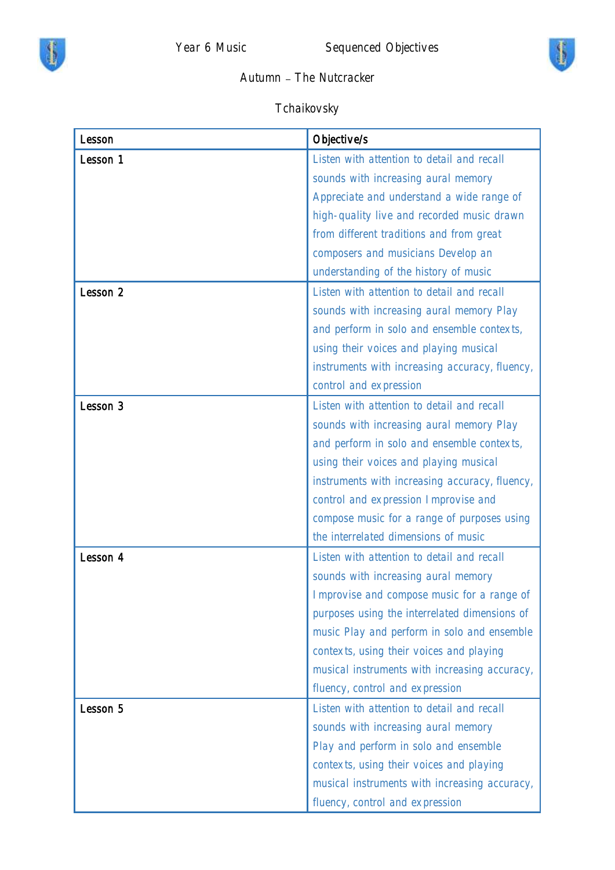



## Autumn - The Nutcracker

## Tchaikovsky

| Lesson   | Objective/s                                    |
|----------|------------------------------------------------|
| Lesson 1 | Listen with attention to detail and recall     |
|          | sounds with increasing aural memory            |
|          | Appreciate and understand a wide range of      |
|          | high-quality live and recorded music drawn     |
|          | from different traditions and from great       |
|          | composers and musicians Develop an             |
|          | understanding of the history of music          |
| Lesson 2 | Listen with attention to detail and recall     |
|          | sounds with increasing aural memory Play       |
|          | and perform in solo and ensemble contexts,     |
|          | using their voices and playing musical         |
|          | instruments with increasing accuracy, fluency, |
|          | control and expression                         |
| Lesson 3 | Listen with attention to detail and recall     |
|          | sounds with increasing aural memory Play       |
|          | and perform in solo and ensemble contexts,     |
|          | using their voices and playing musical         |
|          | instruments with increasing accuracy, fluency, |
|          | control and expression Improvise and           |
|          | compose music for a range of purposes using    |
|          | the interrelated dimensions of music           |
| Lesson 4 | Listen with attention to detail and recall     |
|          | sounds with increasing aural memory            |
|          | Improvise and compose music for a range of     |
|          | purposes using the interrelated dimensions of  |
|          | music Play and perform in solo and ensemble    |
|          | contexts, using their voices and playing       |
|          | musical instruments with increasing accuracy,  |
|          | fluency, control and expression                |
| Lesson 5 | Listen with attention to detail and recall     |
|          | sounds with increasing aural memory            |
|          | Play and perform in solo and ensemble          |
|          | contexts, using their voices and playing       |
|          | musical instruments with increasing accuracy,  |
|          | fluency, control and expression                |